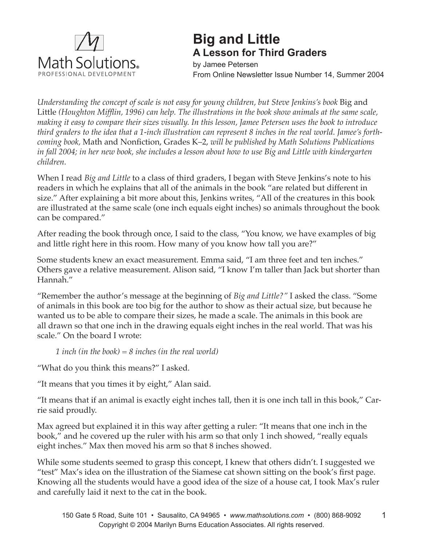

# **Big and Little A Lesson for Third Graders**

by Jamee Petersen From Online Newsletter Issue Number 14, Summer 2004

*Understanding the concept of scale is not easy for young children, but Steve Jenkins's book* Big and Little *(Houghton Mifflin, 1996) can help. The illustrations in the book show animals at the same scale, making it easy to compare their sizes visually. In this lesson, Jamee Petersen uses the book to introduce third graders to the idea that a 1-inch illustration can represent 8 inches in the real world. Jamee's forthcoming book,* Math and Nonfiction, Grades K–2, *will be published by Math Solutions Publications in fall 2004; in her new book, she includes a lesson about how to use Big and Little with kindergarten children.* 

When I read *Big and Little* to a class of third graders, I began with Steve Jenkins's note to his readers in which he explains that all of the animals in the book "are related but different in size." After explaining a bit more about this, Jenkins writes, "All of the creatures in this book are illustrated at the same scale (one inch equals eight inches) so animals throughout the book can be compared."

After reading the book through once, I said to the class, "You know, we have examples of big and little right here in this room. How many of you know how tall you are?"

Some students knew an exact measurement. Emma said, "I am three feet and ten inches." Others gave a relative measurement. Alison said, "I know I'm taller than Jack but shorter than Hannah."

"Remember the author's message at the beginning of *Big and Little?"* I asked the class. "Some of animals in this book are too big for the author to show as their actual size, but because he wanted us to be able to compare their sizes, he made a scale. The animals in this book are all drawn so that one inch in the drawing equals eight inches in the real world. That was his scale." On the board I wrote:

*1 inch (in the book) = 8 inches (in the real world)*

"What do you think this means?" I asked.

"It means that you times it by eight," Alan said.

"It means that if an animal is exactly eight inches tall, then it is one inch tall in this book," Carrie said proudly.

Max agreed but explained it in this way after getting a ruler: "It means that one inch in the book," and he covered up the ruler with his arm so that only 1 inch showed, "really equals eight inches." Max then moved his arm so that 8 inches showed.

While some students seemed to grasp this concept, I knew that others didn't. I suggested we "test" Max's idea on the illustration of the Siamese cat shown sitting on the book's first page. Knowing all the students would have a good idea of the size of a house cat, I took Max's ruler and carefully laid it next to the cat in the book.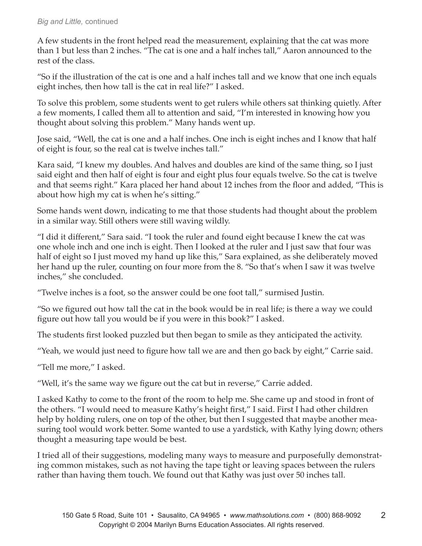A few students in the front helped read the measurement, explaining that the cat was more than 1 but less than 2 inches. "The cat is one and a half inches tall," Aaron announced to the rest of the class.

"So if the illustration of the cat is one and a half inches tall and we know that one inch equals eight inches, then how tall is the cat in real life?" I asked.

To solve this problem, some students went to get rulers while others sat thinking quietly. After a few moments, I called them all to attention and said, "I'm interested in knowing how you thought about solving this problem." Many hands went up.

Jose said, "Well, the cat is one and a half inches. One inch is eight inches and I know that half of eight is four, so the real cat is twelve inches tall."

Kara said, "I knew my doubles. And halves and doubles are kind of the same thing, so I just said eight and then half of eight is four and eight plus four equals twelve. So the cat is twelve and that seems right." Kara placed her hand about 12 inches from the floor and added, "This is about how high my cat is when he's sitting."

Some hands went down, indicating to me that those students had thought about the problem in a similar way. Still others were still waving wildly.

"I did it different," Sara said. "I took the ruler and found eight because I knew the cat was one whole inch and one inch is eight. Then I looked at the ruler and I just saw that four was half of eight so I just moved my hand up like this," Sara explained, as she deliberately moved her hand up the ruler, counting on four more from the 8. "So that's when I saw it was twelve inches," she concluded.

"Twelve inches is a foot, so the answer could be one foot tall," surmised Justin.

"So we figured out how tall the cat in the book would be in real life; is there a way we could figure out how tall you would be if you were in this book?" I asked.

The students first looked puzzled but then began to smile as they anticipated the activity.

"Yeah, we would just need to figure how tall we are and then go back by eight," Carrie said.

"Tell me more," I asked.

"Well, it's the same way we figure out the cat but in reverse," Carrie added.

I asked Kathy to come to the front of the room to help me. She came up and stood in front of the others. "I would need to measure Kathy's height first," I said. First I had other children help by holding rulers, one on top of the other, but then I suggested that maybe another measuring tool would work better. Some wanted to use a yardstick, with Kathy lying down; others thought a measuring tape would be best.

I tried all of their suggestions, modeling many ways to measure and purposefully demonstrating common mistakes, such as not having the tape tight or leaving spaces between the rulers rather than having them touch. We found out that Kathy was just over 50 inches tall.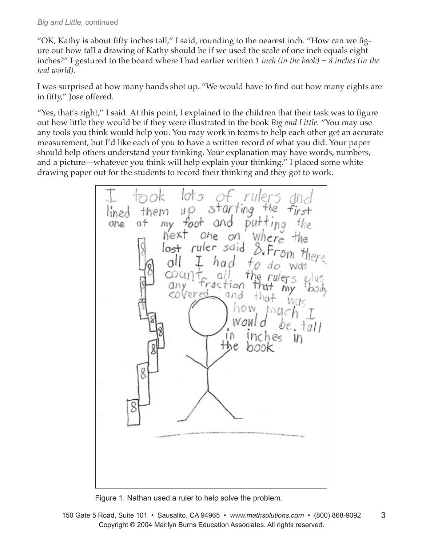"OK, Kathy is about fifty inches tall," I said, rounding to the nearest inch. "How can we figure out how tall a drawing of Kathy should be if we used the scale of one inch equals eight inches?" I gestured to the board where I had earlier written *1 inch (in the book) = 8 inches (in the real world).* 

I was surprised at how many hands shot up. "We would have to find out how many eights are in fifty," Jose offered.

"Yes, that's right," I said. At this point, I explained to the children that their task was to figure out how little they would be if they were illustrated in the book *Big and Little.* "You may use any tools you think would help you. You may work in teams to help each other get an accurate measurement, but I'd like each of you to have a written record of what you did. Your paper should help others understand your thinking. Your explanation may have words, numbers, and a picture—whatever you think will help explain your thinking." I placed some white drawing paper out for the students to record their thinking and they got to work.

10† 5 rw starting them u O the lined my foot putt one u+ and  $Inq$ on where hext Ohe ruler said & From last  $\alpha$ was αI raction any covered and now the

Figure 1. Nathan used a ruler to help solve the problem.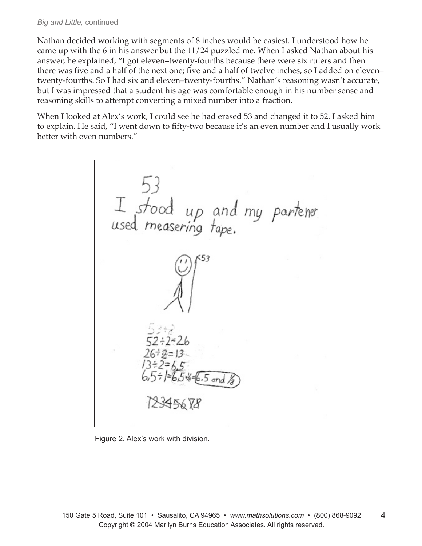Nathan decided working with segments of 8 inches would be easiest. I understood how he came up with the 6 in his answer but the 11/24 puzzled me. When I asked Nathan about his answer, he explained, "I got eleven–twenty-fourths because there were six rulers and then there was five and a half of the next one; five and a half of twelve inches, so I added on eleven– twenty-fourths. So I had six and eleven–twenty-fourths." Nathan's reasoning wasn't accurate, but I was impressed that a student his age was comfortable enough in his number sense and reasoning skills to attempt converting a mixed number into a fraction.

When I looked at Alex's work, I could see he had erased 53 and changed it to 52. I asked him to explain. He said, "I went down to fifty-two because it's an even number and I usually work better with even numbers."



Figure 2. Alex's work with division.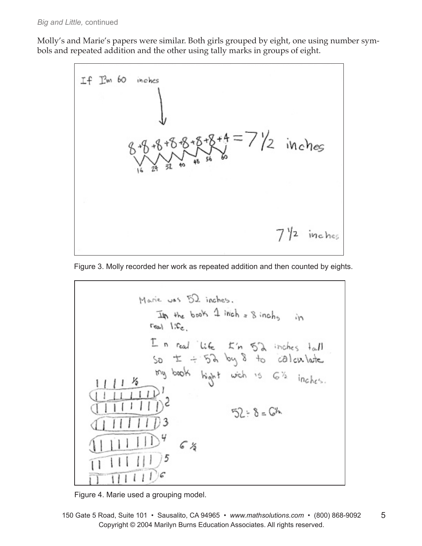Molly's and Marie's papers were similar. Both girls grouped by eight, one using number symbols and repeated addition and the other using tally marks in groups of eight.







Figure 4. Marie used a grouping model.